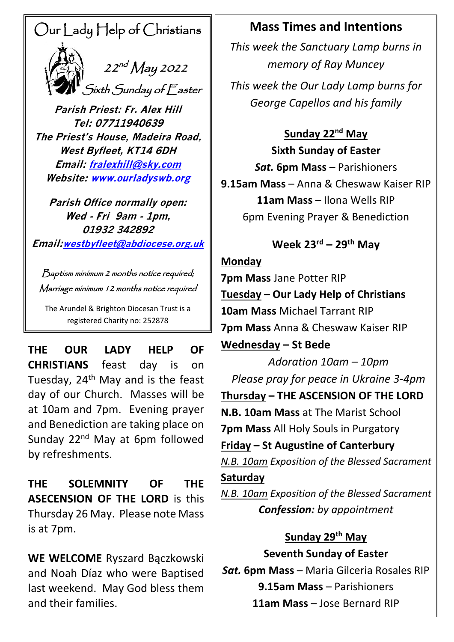# Our Lady Help of Christians



 $\sum_{i=1}^{n}$  22<sup>nd</sup> May 2022 Sixth Sunday of Easter

**Parish Priest: Fr. Alex Hill Tel: 07711940639 The Priest's House, Madeira Road, West Byfleet, KT14 6DH Email: [fralexhill@sky.com](mailto:fralexhill@sky.com) Website: [www.ourladyswb.org](http://www.ourladyswb.org/)**

**Parish Office normally open: Wed - Fri 9am - 1pm, 01932 342892 Email:[westbyfleet@abdiocese.org.uk](mailto:westbyfleet@abdiocese.org.uk)**

Baptism minimum 2 months notice required; Marriage minimum 12 months notice required

The Arundel & Brighton Diocesan Trust is a registered Charity no: 252878

 **THE OUR LADY HELP OF CHRISTIANS** feast day is on Tuesday,  $24<sup>th</sup>$  May and is the feast day of our Church. Masses will be at 10am and 7pm. Evening prayer and Benediction are taking place on Sunday 22<sup>nd</sup> May at 6pm followed by refreshments.

**THE SOLEMNITY OF THE ASECENSION OF THE LORD** is this Thursday 26 May. Please note Mass is at 7pm.

**WE WELCOME** Ryszard Bączkowski and Noah Díaz who were Baptised last weekend. May God bless them and their families.

### **Mass Times and Intentions**

*This week the Sanctuary Lamp burns in memory of Ray Muncey*

*This week the Our Lady Lamp burns for George Capellos and his family*

### **Sunday 22nd May**

**Sixth Sunday of Easter** *Sat.* **6pm Mass – Parishioners 9.15am Mass** – Anna & Cheswaw Kaiser RIP **11am Mass** – Ilona Wells RIP 6pm Evening Prayer & Benediction

### **Week 23rd – 29 th May**

### **Monday**

**7pm Mass** Jane Potter RIP **Tuesday – Our Lady Help of Christians 10am Mass** Michael Tarrant RIP **7pm Mass** Anna & Cheswaw Kaiser RIP **Wednesday – St Bede**

*Adoration 10am – 10pm Please pray for peace in Ukraine 3-4pm* **Thursday – THE ASCENSION OF THE LORD N.B. 10am Mass** at The Marist School **7pm Mass** All Holy Souls in Purgatory **Friday – St Augustine of Canterbury** *N.B. 10am Exposition of the Blessed Sacrament* **Saturday**

*N.B. 10am Exposition of the Blessed Sacrament Confession: by appointment*

## **Sunday 29 th May**

**Seventh Sunday of Easter**

*Sat.* **6pm Mass** – Maria Gilceria Rosales RIP **9.15am Mass** – Parishioners **11am Mass** – Jose Bernard RIP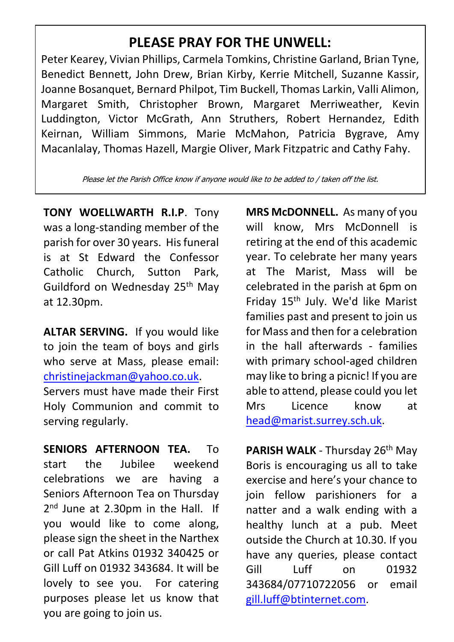### **PLEASE PRAY FOR THE UNWELL:**

Peter Kearey, Vivian Phillips, Carmela Tomkins, Christine Garland, Brian Tyne, Benedict Bennett, John Drew, Brian Kirby, Kerrie Mitchell, Suzanne Kassir, Joanne Bosanquet, Bernard Philpot, Tim Buckell, Thomas Larkin, Valli Alimon, Margaret Smith, Christopher Brown, Margaret Merriweather, Kevin Luddington, Victor McGrath, Ann Struthers, Robert Hernandez, Edith Keirnan, William Simmons, Marie McMahon, Patricia Bygrave, Amy Macanlalay, Thomas Hazell, Margie Oliver, Mark Fitzpatric and Cathy Fahy.

Please let the Parish Office know if anyone would like to be added to / taken off the list.

**TONY WOELLWARTH R.I.P**. Tony was a long-standing member of the parish for over 30 years. His funeral is at St Edward the Confessor Catholic Church, Sutton Park, Guildford on Wednesday 25<sup>th</sup> May at 12.30pm.

**ALTAR SERVING.** If you would like to join the team of boys and girls who serve at Mass, please email: [christinejackman@yahoo.co.uk.](mailto:christinejackman@yahoo.co.uk)

Servers must have made their First Holy Communion and commit to serving regularly.

**SENIORS AFTERNOON TEA.** To start the Jubilee weekend celebrations we are having a Seniors Afternoon Tea on Thursday 2<sup>nd</sup> June at 2.30pm in the Hall. If you would like to come along, please sign the sheet in the Narthex or call Pat Atkins 01932 340425 or Gill Luff on 01932 343684. It will be lovely to see you. For catering purposes please let us know that you are going to join us.

**MRS McDONNELL.** As many of you will know, Mrs McDonnell is retiring at the end of this academic year. To celebrate her many years at The Marist, Mass will be celebrated in the parish at 6pm on Friday 15th July. We'd like Marist families past and present to join us for Mass and then for a celebration in the hall afterwards - families with primary school-aged children may like to bring a picnic! If you are able to attend, please could you let Mrs Licence know at [head@marist.surrey.sch.uk.](mailto:head@marist.surrey.sch.uk)

**PARISH WALK** - Thursday 26<sup>th</sup> May Boris is encouraging us all to take exercise and here's your chance to join fellow parishioners for a natter and a walk ending with a healthy lunch at a pub. Meet outside the Church at 10.30. If you have any queries, please contact Gill Luff on 01932 343684/07710722056 or email [gill.luff@btinternet.com.](mailto:gill.luff@btinternet.com)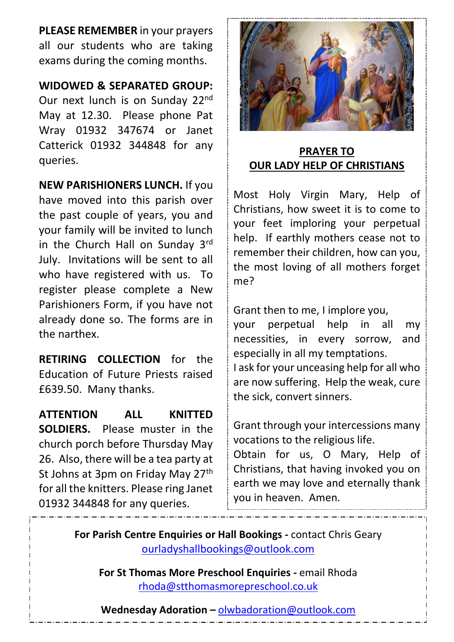**PLEASE REMEMBER** in your prayers all our students who are taking exams during the coming months.

#### **WIDOWED & SEPARATED GROUP:**

Our next lunch is on Sunday 22nd May at 12.30. Please phone Pat Wray 01932 347674 or Janet Catterick 01932 344848 for any queries.

**NEW PARISHIONERS LUNCH.** If you have moved into this parish over the past couple of years, you and your family will be invited to lunch in the Church Hall on Sunday 3rd July. Invitations will be sent to all who have registered with us. To register please complete a New Parishioners Form, if you have not already done so. The forms are in the narthex.

**RETIRING COLLECTION** for the Education of Future Priests raised £639.50. Many thanks.

**ATTENTION ALL KNITTED SOLDIERS.** Please muster in the church porch before Thursday May 26. Also, there will be a tea party at St Johns at 3pm on Friday May 27<sup>th</sup> for all the knitters. Please ring Janet 01932 344848 for any queries.



### **PRAYER TO OUR LADY HELP OF CHRISTIANS**

Most Holy Virgin Mary, Help of Christians, how sweet it is to come to your feet imploring your perpetual help. If earthly mothers cease not to remember their children, how can you, the most loving of all mothers forget me?

Grant then to me, I implore you,

your perpetual help in all my necessities, in every sorrow, and especially in all my temptations. I ask for your unceasing help for all who

are now suffering. Help the weak, cure the sick, convert sinners.

Grant through your intercessions many vocations to the religious life.

Obtain for us, O Mary, Help of Christians, that having invoked you on earth we may love and eternally thank you in heaven. Amen.

**For Parish Centre Enquiries or Hall Bookings -** contact Chris Geary [ourladyshallbookings@outlook.com](mailto:ourladyshallbookings@outlook.com)

**For St Thomas More Preschool Enquiries -** email Rhoda [rhoda@stthomasmorepreschool.co.uk](mailto:rhoda@stthomasmorepreschool.co.uk)

**Wednesday Adoration –** [olwbadoration@outlook.com](mailto:olwbadoration@outlook.com)